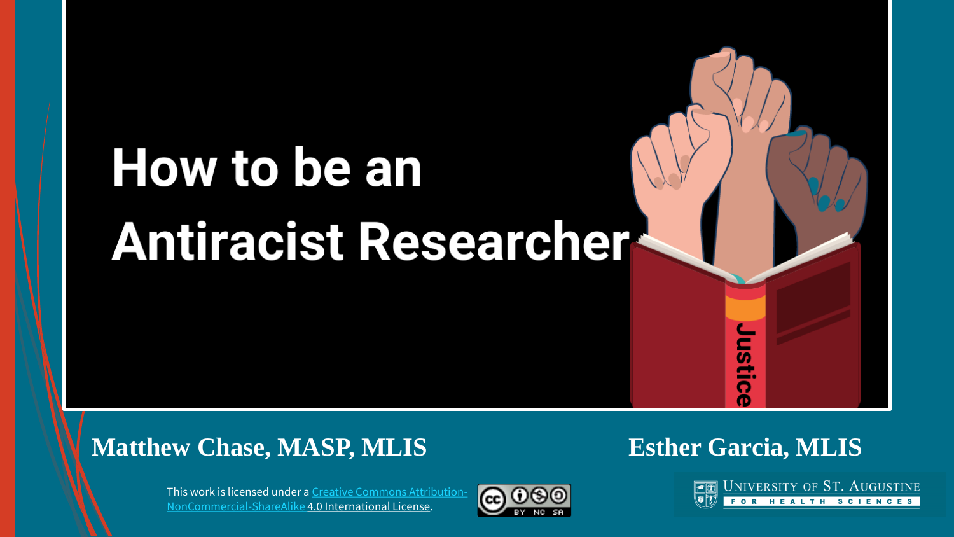# How to be an **Antiracist Researcher-**

#### **Matthew Chase, MASP, MLIS Esther Garcia, MLIS**

ë. n Œ

This work is licensed under a [Creative Commons Attribution-](http://creativecommons.org/licenses/by-nc-sa/4.0/)NonCommercial-ShareAlike 4.0 International License.



UNIVERSITY OF ST. AUGUSTINE FOR HEALTH SCIENCES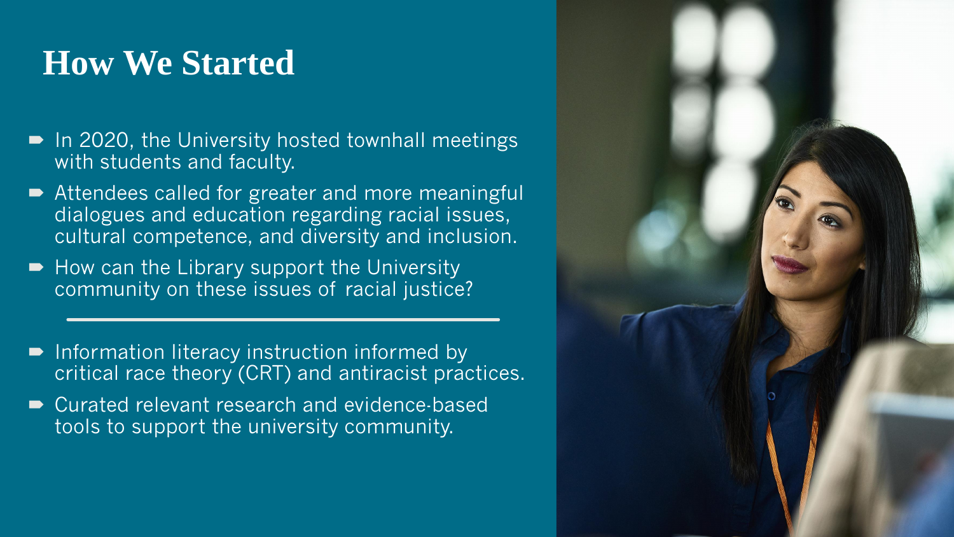# **How We Started**

- In 2020, the University hosted townhall meetings with students and faculty.
- Attendees called for greater and more meaningful dialogues and education regarding racial issues, cultural competence, and diversity and inclusion.
- How can the Library support the University community on these issues of racial justice?
- **Information literacy instruction informed by** critical race theory (CRT) and antiracist practices.
- Curated relevant research and evidence-based tools to support the university community.

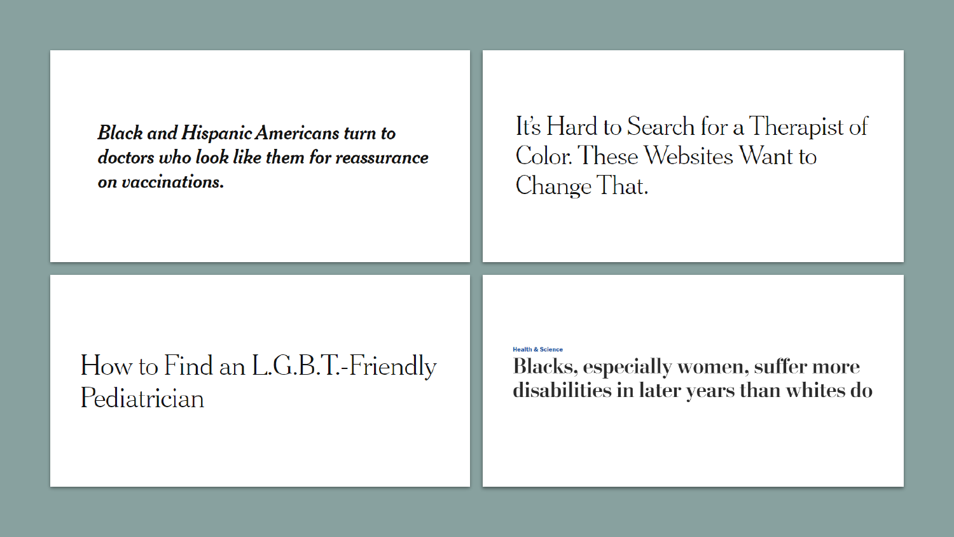**Black and Hispanic Americans turn to** doctors who look like them for reassurance on vaccinations.

#### It's Hard to Search for a Therapist of Color. These Websites Want to Change That.

### How to Find an L.G.B.T.-Friendly Pediatrician

#### **Health & Science**

**Blacks, especially women, suffer more** disabilities in later years than whites do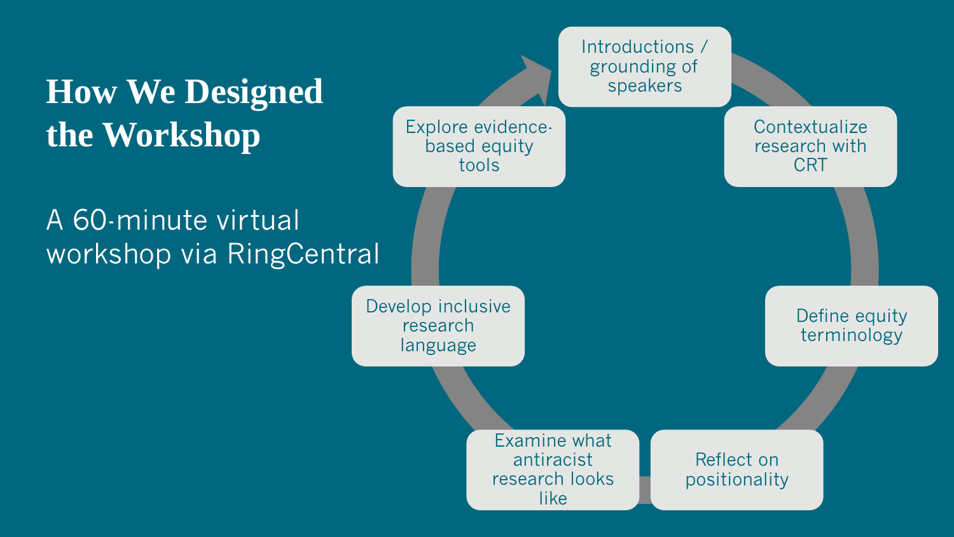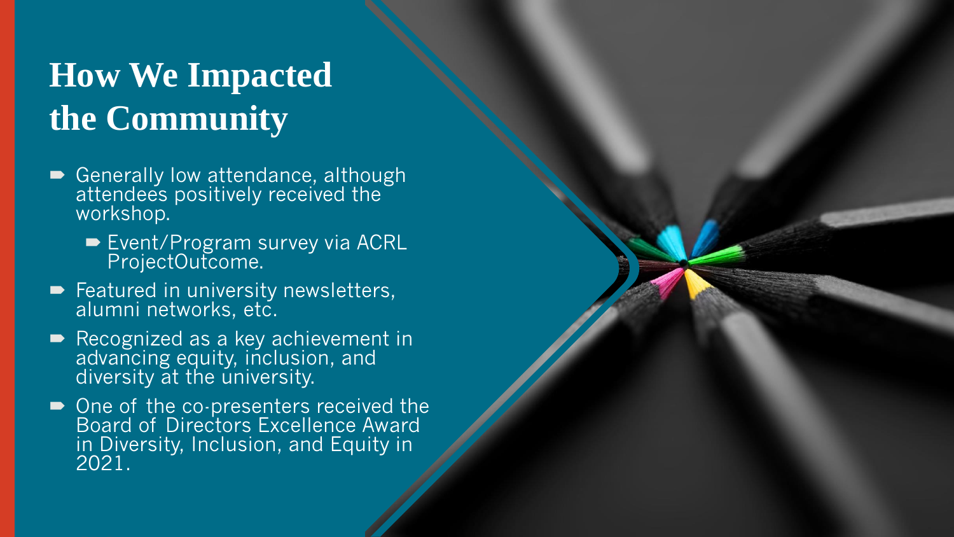# **How We Impacted the Community**

- Generally low attendance, although attendees positively received the workshop.
	- Event/Program survey via ACRL ProjectOutcome.
- Featured in university newsletters, alumni networks, etc.
- Recognized as a key achievement in advancing equity, inclusion, and diversity at the university.
- One of the co-presenters received the Board of Directors Excellence Award in Diversity, Inclusion, and Equity in 2021.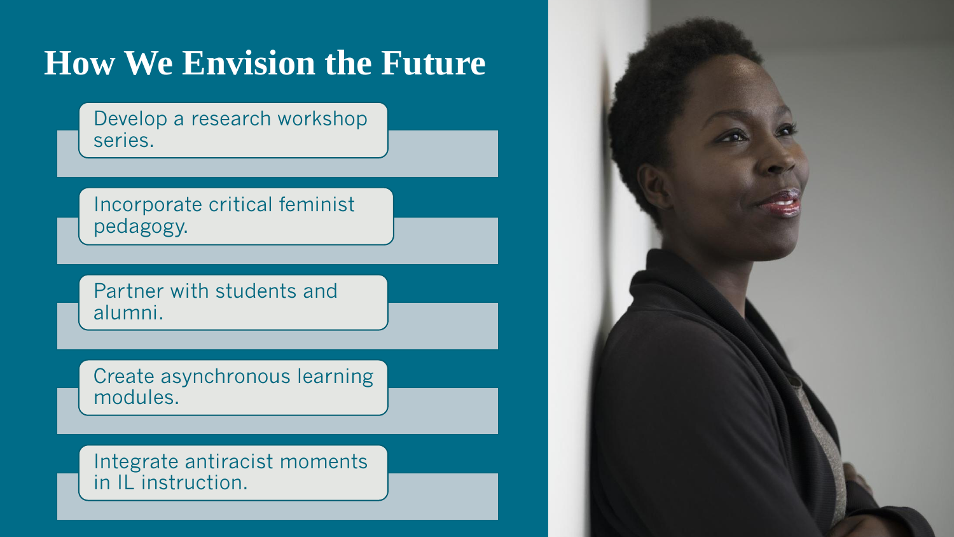# **How We Envision the Future**

Develop a research workshop series.

Incorporate critical feminist pedagogy.

Partner with students and alumni.

Create asynchronous learning modules.

Integrate antiracist moments in IL instruction.